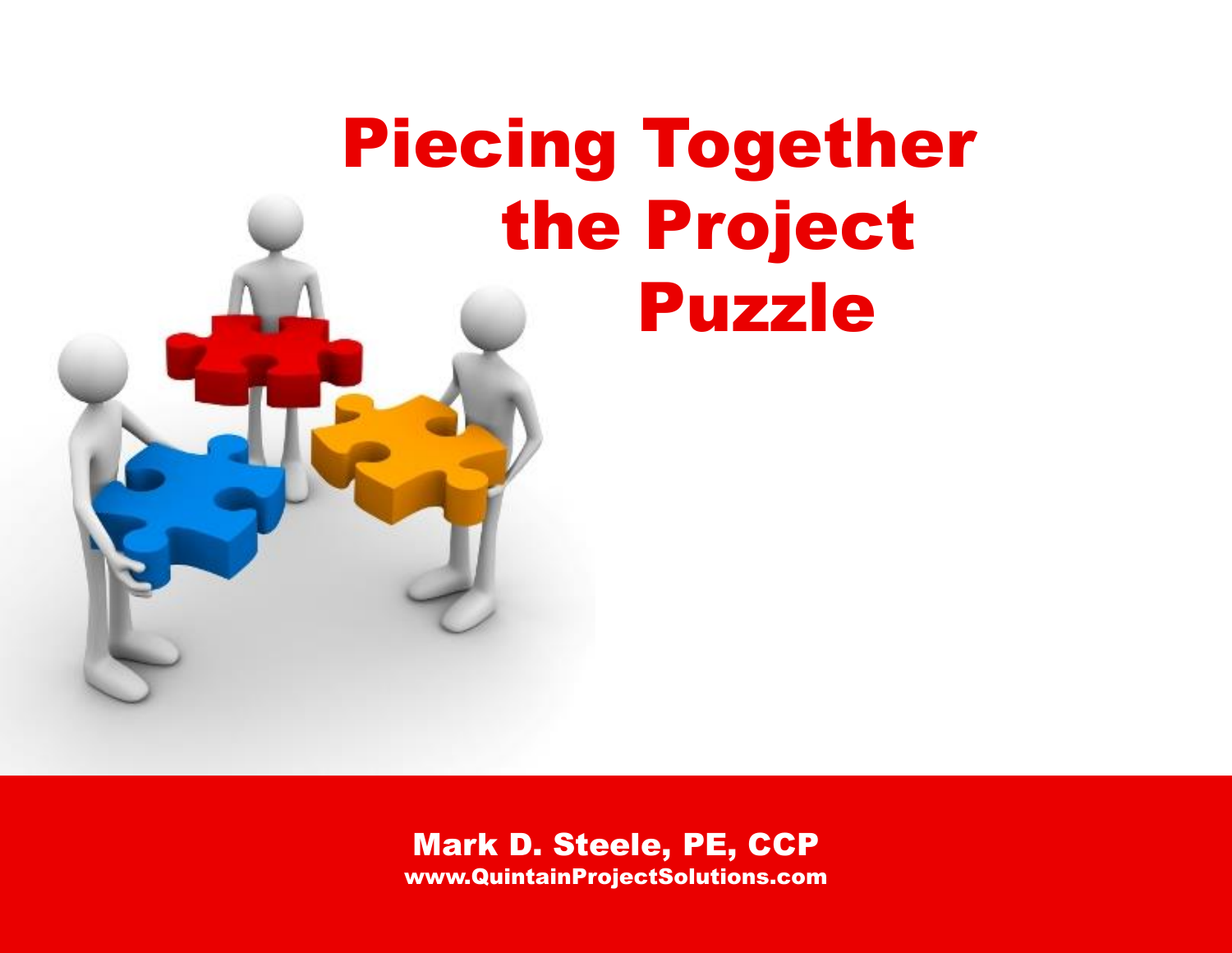# Piecing Together the Project Puzzle

# Mark D. Steele, PE, CCP www.QuintainProjectSolutions.com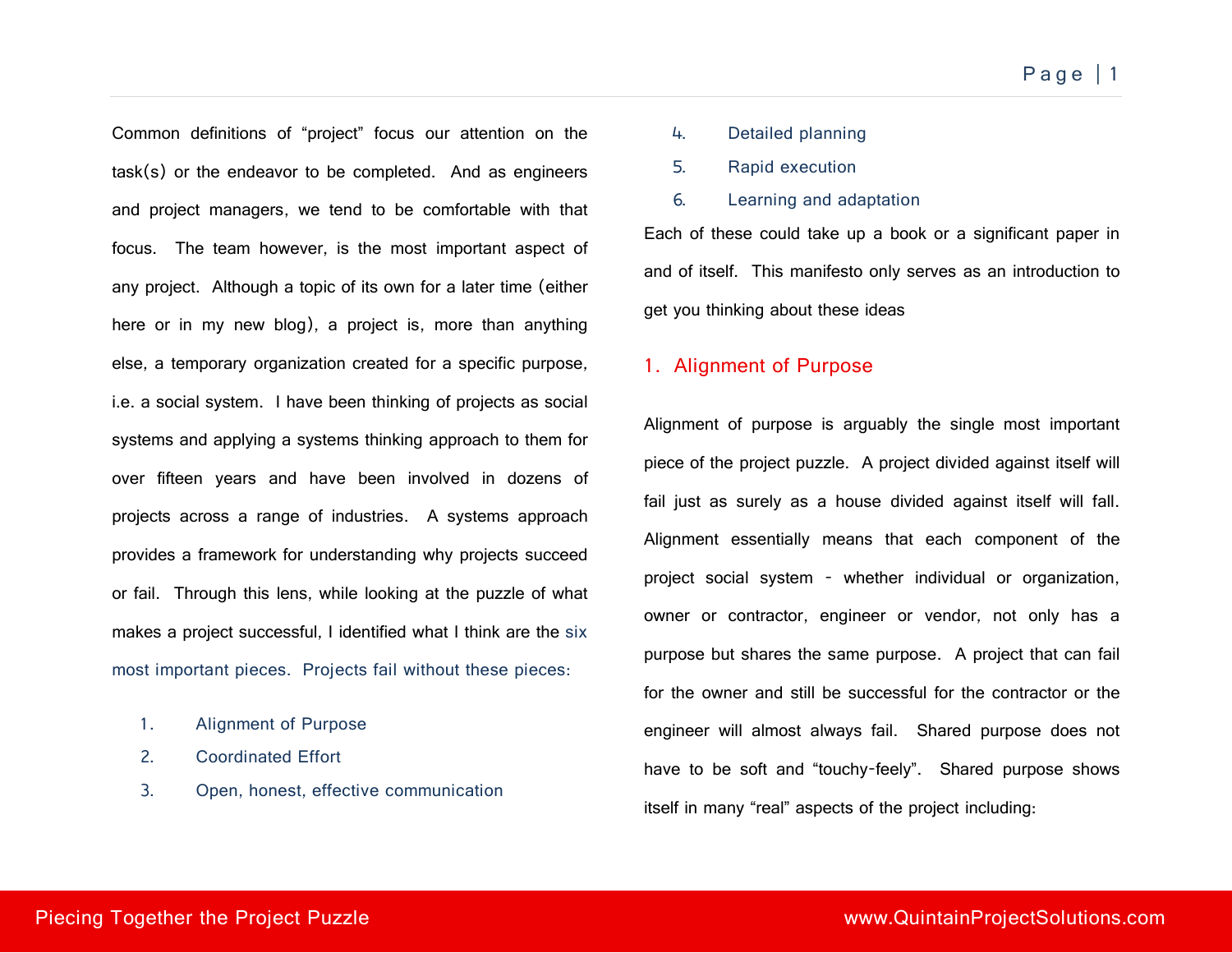Common definitions of "project" focus our attention on the task(s) or the endeavor to be completed. And as engineers and project managers, we tend to be comfortable with that focus. The team however, is the most important aspect of any project. Although a topic of its own for a later time (either here or in my new blog), a project is, more than anything else, a temporary organization created for a specific purpose, i.e. a social system. I have been thinking of projects as social systems and applying a systems thinking approach to them for over fifteen years and have been involved in dozens of projects across a range of industries. A systems approach provides a framework for understanding why projects succeed or fail. Through this lens, while looking at the puzzle of what makes a project successful, I identified what I think are the six most important pieces. Projects fail without these pieces:

- 1. Alignment of Purpose
- 2. Coordinated Effort
- 3. Open, honest, effective communication
- 4. Detailed planning
- 5. Rapid execution
- 6. Learning and adaptation

Each of these could take up a book or a significant paper in and of itself. This manifesto only serves as an introduction to get you thinking about these ideas

#### 1. Alignment of Purpose

Alignment of purpose is arguably the single most important piece of the project puzzle. A project divided against itself will fail just as surely as a house divided against itself will fall. Alignment essentially means that each component of the project social system - whether individual or organization, owner or contractor, engineer or vendor, not only has a purpose but shares the same purpose. A project that can fail for the owner and still be successful for the contractor or the engineer will almost always fail. Shared purpose does not have to be soft and "touchy-feely". Shared purpose shows itself in many "real" aspects of the project including: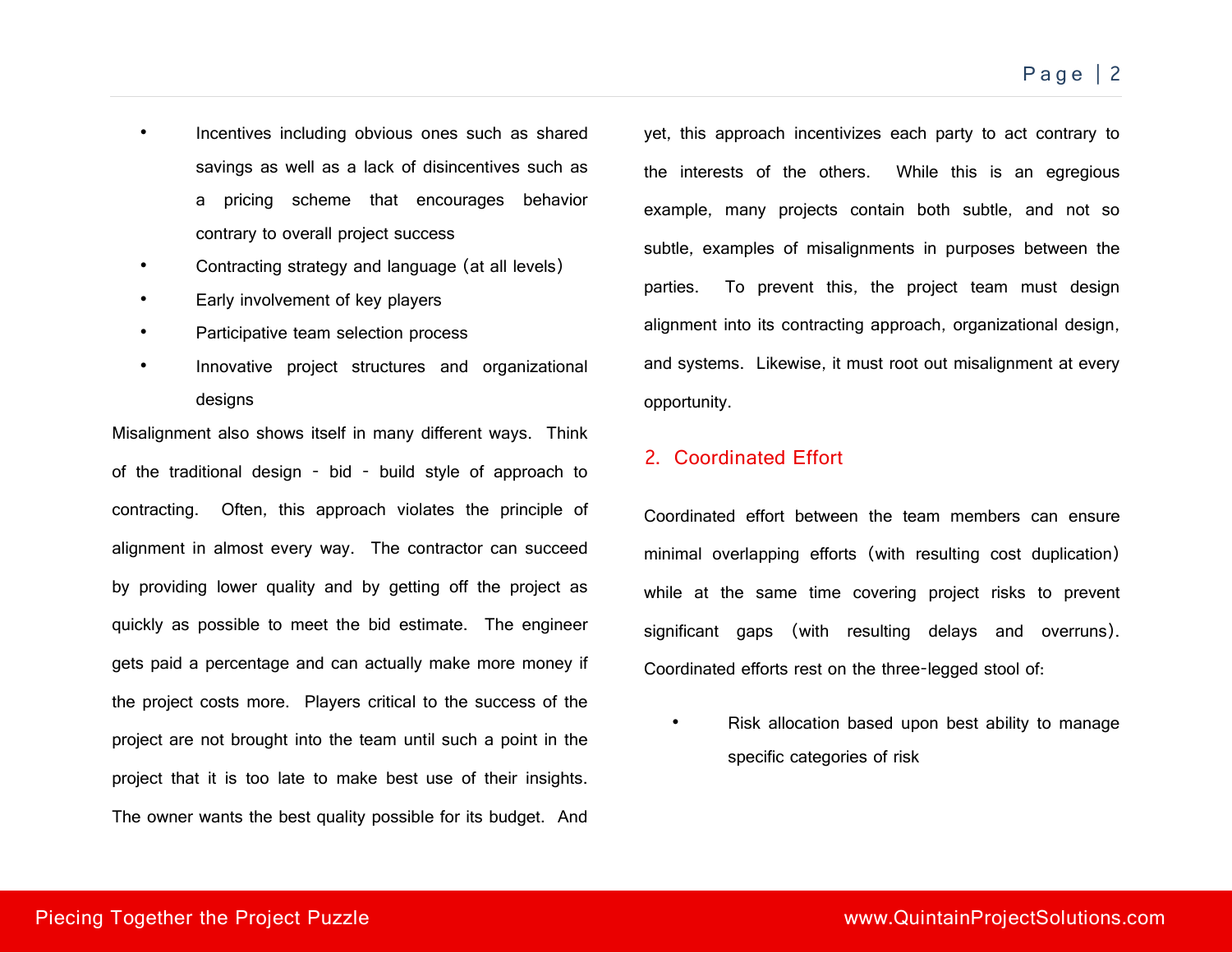- Incentives including obvious ones such as shared savings as well as a lack of disincentives such as a pricing scheme that encourages behavior contrary to overall project success
- Contracting strategy and language (at all levels)
- Early involvement of key players
- Participative team selection process
- Innovative project structures and organizational designs

Misalignment also shows itself in many different ways. Think of the traditional design - bid - build style of approach to contracting. Often, this approach violates the principle of alignment in almost every way. The contractor can succeed by providing lower quality and by getting off the project as quickly as possible to meet the bid estimate. The engineer gets paid a percentage and can actually make more money if the project costs more. Players critical to the success of the project are not brought into the team until such a point in the project that it is too late to make best use of their insights. The owner wants the best quality possible for its budget. And

yet, this approach incentivizes each party to act contrary to the interests of the others. While this is an egregious example, many projects contain both subtle, and not so subtle, examples of misalignments in purposes between the parties. To prevent this, the project team must design alignment into its contracting approach, organizational design, and systems. Likewise, it must root out misalignment at every opportunity.

## 2. Coordinated Effort

Coordinated effort between the team members can ensure minimal overlapping efforts (with resulting cost duplication) while at the same time covering project risks to prevent significant gaps (with resulting delays and overruns). Coordinated efforts rest on the three-legged stool of:

• Risk allocation based upon best ability to manage specific categories of risk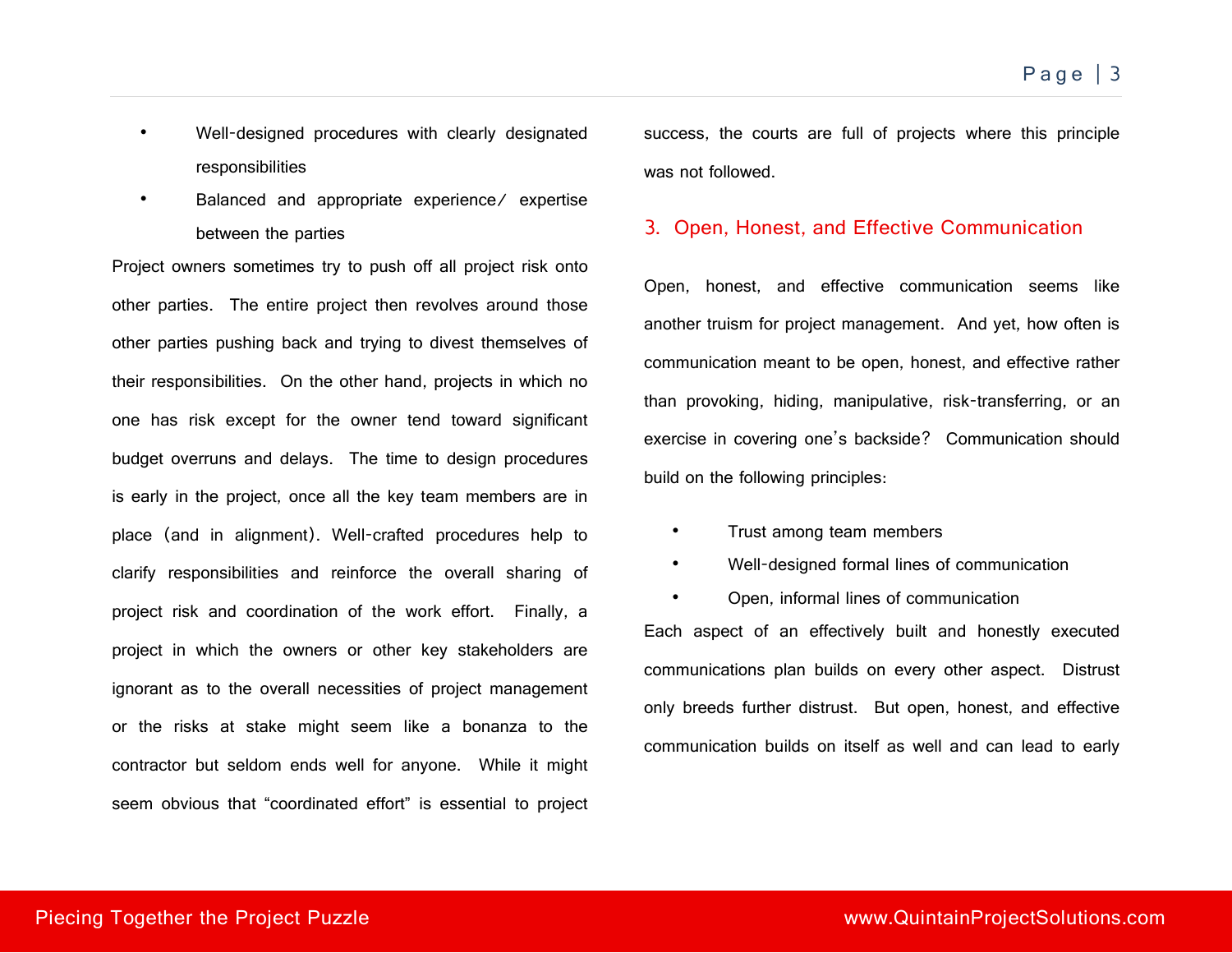- Well-designed procedures with clearly designated responsibilities
- Balanced and appropriate experience/ expertise between the parties

Project owners sometimes try to push off all project risk onto other parties. The entire project then revolves around those other parties pushing back and trying to divest themselves of their responsibilities. On the other hand, projects in which no one has risk except for the owner tend toward significant budget overruns and delays. The time to design procedures is early in the project, once all the key team members are in place (and in alignment). Well-crafted procedures help to clarify responsibilities and reinforce the overall sharing of project risk and coordination of the work effort. Finally, a project in which the owners or other key stakeholders are ignorant as to the overall necessities of project management or the risks at stake might seem like a bonanza to the contractor but seldom ends well for anyone. While it might seem obvious that "coordinated effort" is essential to project success, the courts are full of projects where this principle was not followed

#### 3. Open, Honest, and Effective Communication

Open, honest, and effective communication seems like another truism for project management. And yet, how often is communication meant to be open, honest, and effective rather than provoking, hiding, manipulative, risk-transferring, or an exercise in covering one's backside? Communication should build on the following principles:

- Trust among team members
- Well-designed formal lines of communication
- Open, informal lines of communication Each aspect of an effectively built and honestly executed communications plan builds on every other aspect. Distrust only breeds further distrust. But open, honest, and effective communication builds on itself as well and can lead to early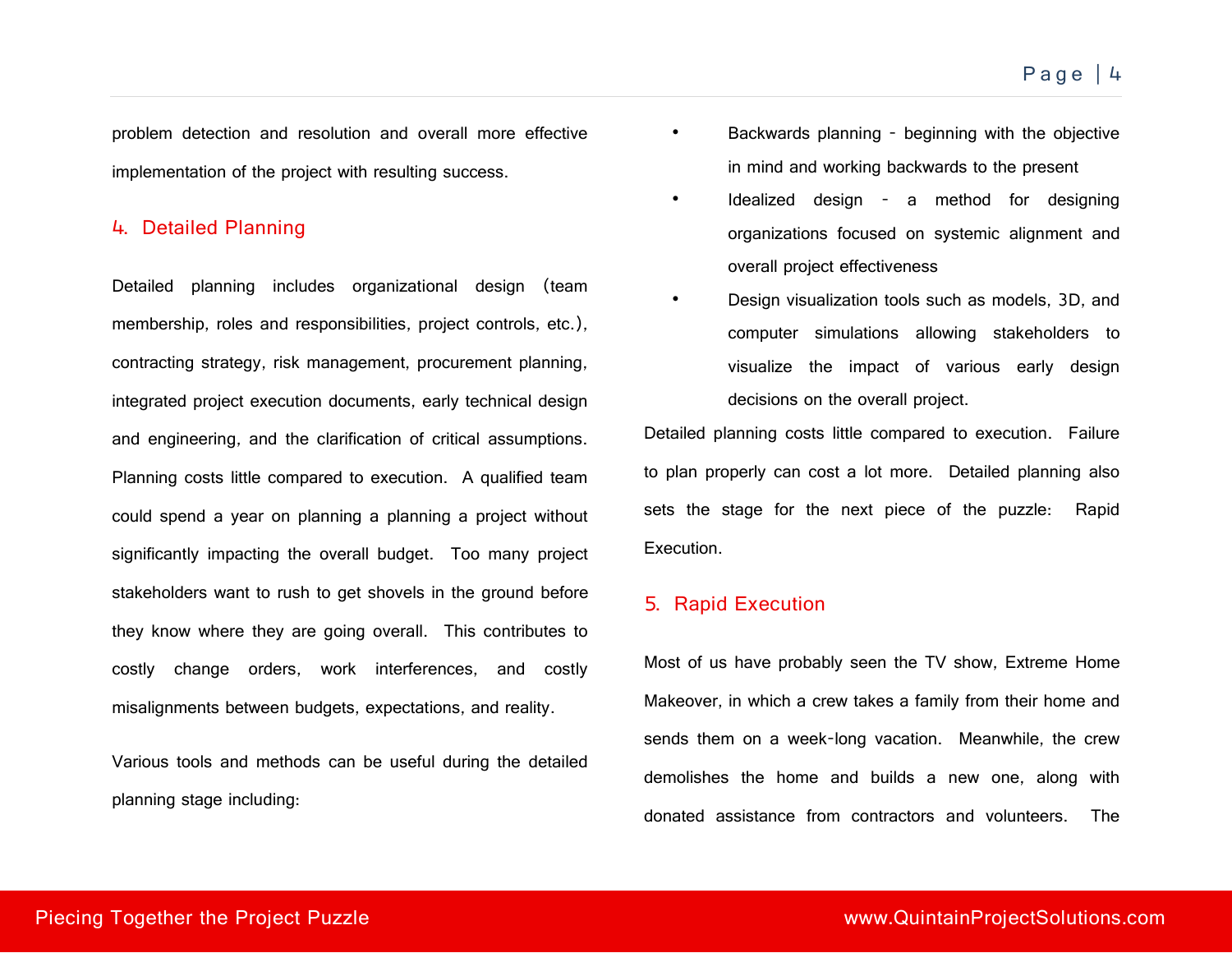problem detection and resolution and overall more effective implementation of the project with resulting success.

#### 4. Detailed Planning

Detailed planning includes organizational design (team membership, roles and responsibilities, project controls, etc.), contracting strategy, risk management, procurement planning, integrated project execution documents, early technical design and engineering, and the clarification of critical assumptions. Planning costs little compared to execution. A qualified team could spend a year on planning a planning a project without significantly impacting the overall budget. Too many project stakeholders want to rush to get shovels in the ground before they know where they are going overall. This contributes to costly change orders, work interferences, and costly misalignments between budgets, expectations, and reality.

Various tools and methods can be useful during the detailed planning stage including:

- Backwards planning beginning with the objective in mind and working backwards to the present
- Idealized design a method for designing organizations focused on systemic alignment and overall project effectiveness
- Design visualization tools such as models, 3D, and computer simulations allowing stakeholders to visualize the impact of various early design decisions on the overall project.

Detailed planning costs little compared to execution. Failure to plan properly can cost a lot more. Detailed planning also sets the stage for the next piece of the puzzle: Rapid Execution.

#### 5. Rapid Execution

Most of us have probably seen the TV show, Extreme Home Makeover, in which a crew takes a family from their home and sends them on a week-long vacation. Meanwhile, the crew demolishes the home and builds a new one, along with donated assistance from contractors and volunteers. The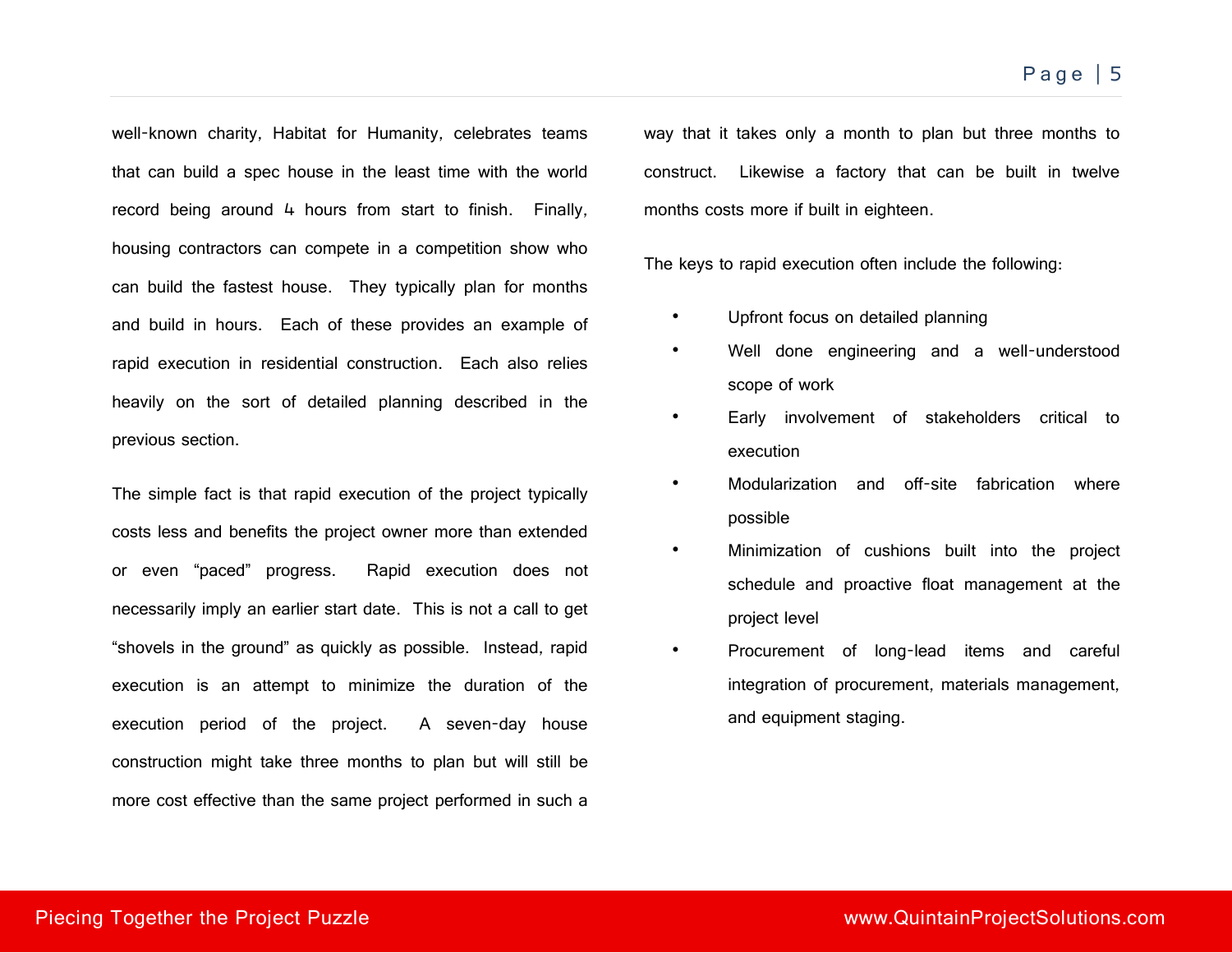well-known charity, Habitat for Humanity, celebrates teams that can build a spec house in the least time with the world record being around 4 hours from start to finish. Finally, housing contractors can compete in a competition show who can build the fastest house. They typically plan for months and build in hours. Each of these provides an example of rapid execution in residential construction. Each also relies heavily on the sort of detailed planning described in the previous section.

The simple fact is that rapid execution of the project typically costs less and benefits the project owner more than extended or even "paced" progress. Rapid execution does not necessarily imply an earlier start date. This is not a call to get "shovels in the ground" as quickly as possible. Instead, rapid execution is an attempt to minimize the duration of the execution period of the project. A seven-day house construction might take three months to plan but will still be more cost effective than the same project performed in such a

way that it takes only a month to plan but three months to construct. Likewise a factory that can be built in twelve months costs more if built in eighteen.

The keys to rapid execution often include the following:

- Upfront focus on detailed planning
- Well done engineering and a well-understood scope of work
- Early involvement of stakeholders critical to execution
- Modularization and off-site fabrication where possible
- Minimization of cushions built into the project schedule and proactive float management at the project level
- Procurement of long-lead items and careful integration of procurement, materials management, and equipment staging.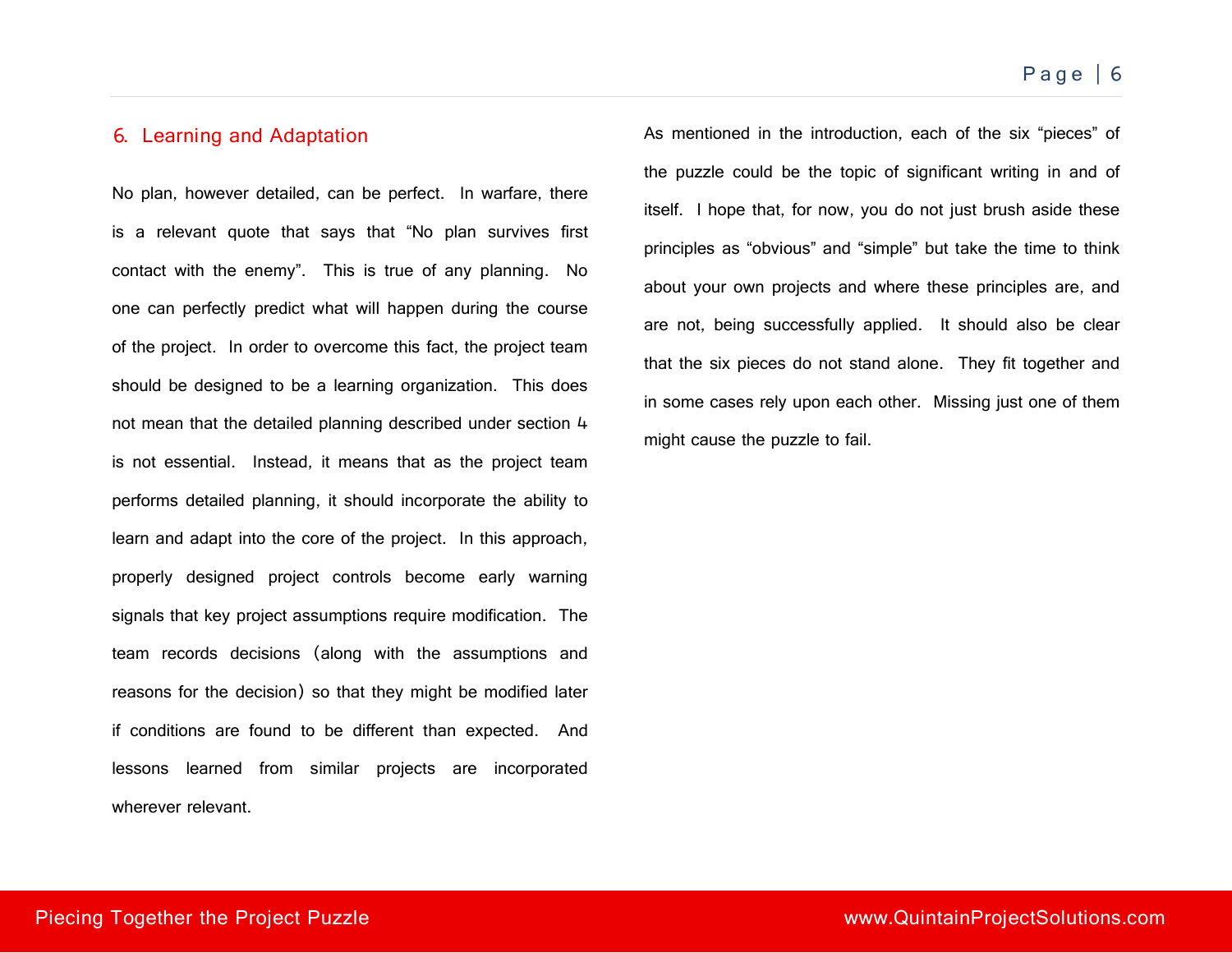## 6. Learning and Adaptation

No plan, however detailed, can be perfect. In warfare, there is a relevant quote that says that "No plan survives first contact with the enemy". This is true of any planning. No one can perfectly predict what will happen during the course of the project. In order to overcome this fact, the project team should be designed to be a learning organization. This does not mean that the detailed planning described under section 4 is not essential. Instead, it means that as the project team performs detailed planning, it should incorporate the ability to learn and adapt into the core of the project. In this approach, properly designed project controls become early warning signals that key project assumptions require modification. The team records decisions (along with the assumptions and reasons for the decision) so that they might be modified later if conditions are found to be different than expected. And lessons learned from similar projects are incorporated wherever relevant.

As mentioned in the introduction, each of the six "pieces" of the puzzle could be the topic of significant writing in and of itself. I hope that, for now, you do not just brush aside these principles as "obvious" and "simple" but take the time to think about your own projects and where these principles are, and are not, being successfully applied. It should also be clear that the six pieces do not stand alone. They fit together and in some cases rely upon each other. Missing just one of them might cause the puzzle to fail.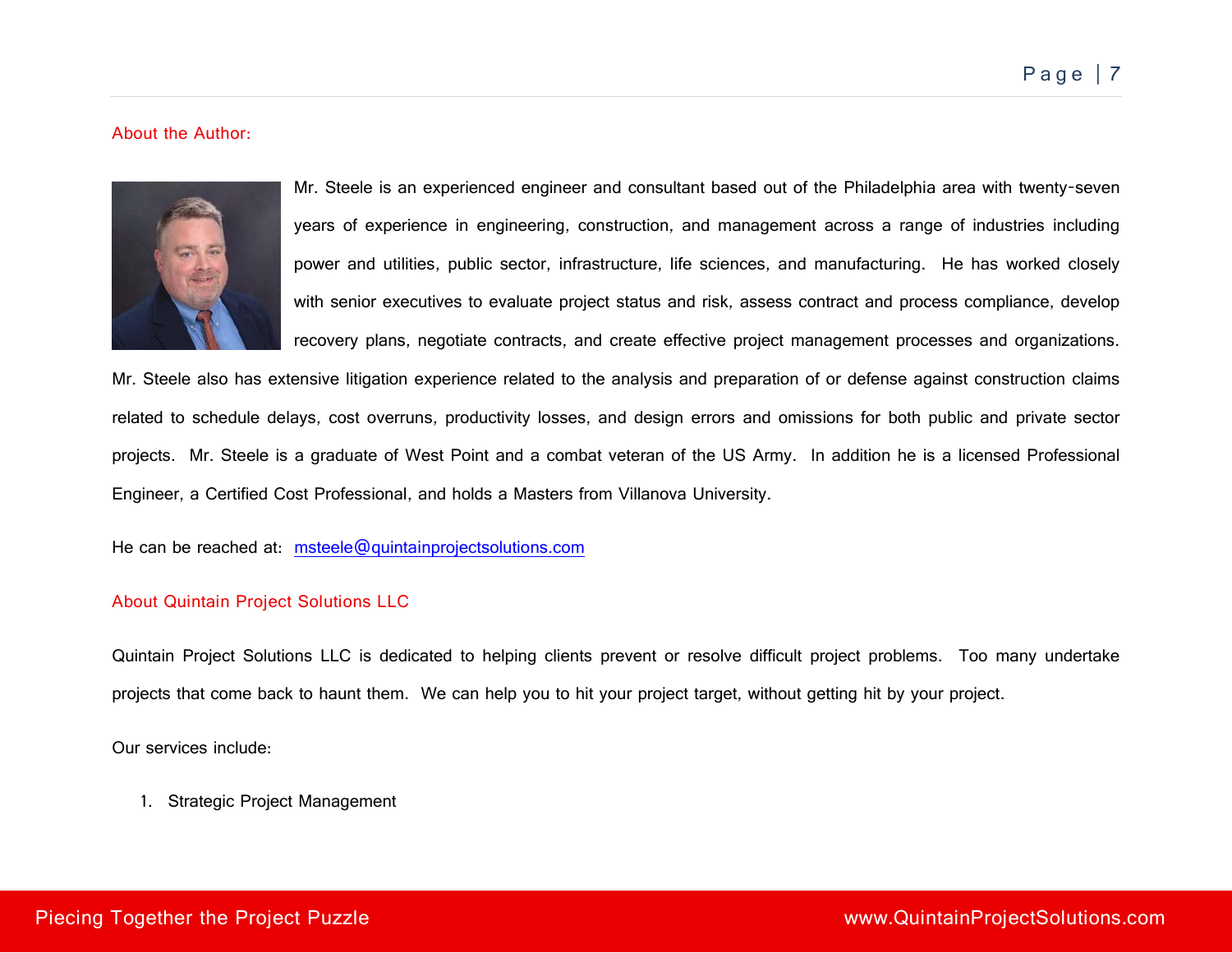#### About the Author:



Mr. Steele is an experienced engineer and consultant based out of the Philadelphia area with twenty-seven years of experience in engineering, construction, and management across a range of industries including power and utilities, public sector, infrastructure, life sciences, and manufacturing. He has worked closely with senior executives to evaluate project status and risk, assess contract and process compliance, develop recovery plans, negotiate contracts, and create effective project management processes and organizations.

Mr. Steele also has extensive litigation experience related to the analysis and preparation of or defense against construction claims related to schedule delays, cost overruns, productivity losses, and design errors and omissions for both public and private sector projects. Mr. Steele is a graduate of West Point and a combat veteran of the US Army. In addition he is a licensed Professional Engineer, a Certified Cost Professional, and holds a Masters from Villanova University.

He can be reached at: [msteele@quintainprojectsolutions.com](mailto:msteele@quintainprojectsolutions.com)

#### About Quintain Project Solutions LLC

Quintain Project Solutions LLC is dedicated to helping clients prevent or resolve difficult project problems. Too many undertake projects that come back to haunt them. We can help you to hit your project target, without getting hit by your project.

Our services include:

1. Strategic Project Management